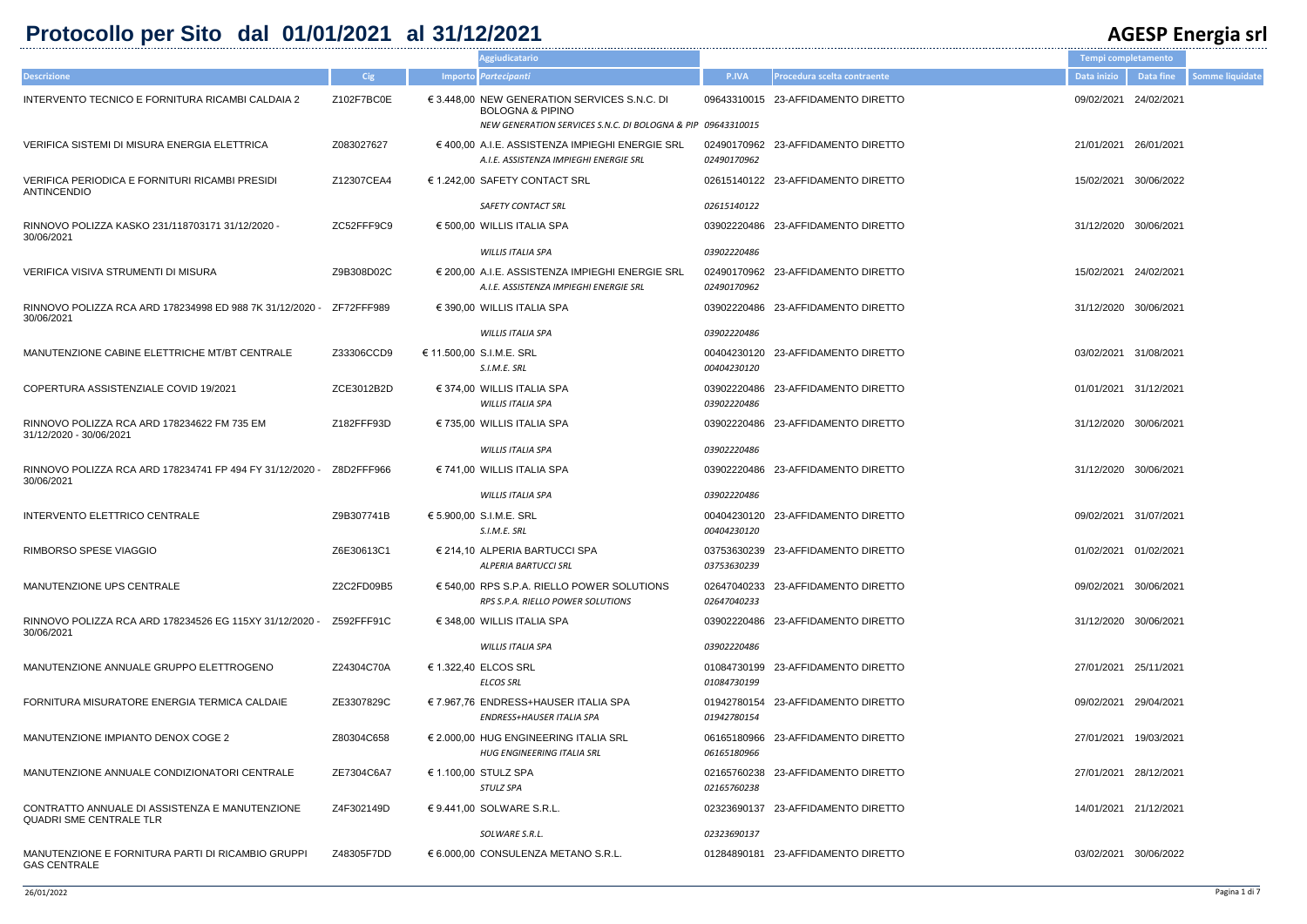## **Protocollo per Sito dal 01/01/2021 al 31/12/2021 AGESP Energia srl**

|              |                                |                       |                  | – o–                   |
|--------------|--------------------------------|-----------------------|------------------|------------------------|
|              |                                | Tempi completamento   |                  |                        |
| <b>P.IVA</b> | Procedura scelta contraente    | Data inizio           | <b>Data fine</b> | <b>Somme liquidate</b> |
|              | 3310015 23-AFFIDAMENTO DIRETTO | 09/02/2021 24/02/2021 |                  |                        |
| 3310015      |                                |                       |                  |                        |
| 0170962      | 0170962 23-AFFIDAMENTO DIRETTO | 21/01/2021 26/01/2021 |                  |                        |
|              | 5140122 23-AFFIDAMENTO DIRETTO | 15/02/2021 30/06/2022 |                  |                        |
| 5140122      |                                |                       |                  |                        |
|              | 2220486 23-AFFIDAMENTO DIRETTO | 31/12/2020 30/06/2021 |                  |                        |
| 2220486      |                                |                       |                  |                        |
| 0170962      | 0170962 23-AFFIDAMENTO DIRETTO | 15/02/2021 24/02/2021 |                  |                        |
|              | 2220486 23-AFFIDAMENTO DIRETTO | 31/12/2020 30/06/2021 |                  |                        |
| 2220486      |                                |                       |                  |                        |
| 4230120      | 4230120 23-AFFIDAMENTO DIRETTO | 03/02/2021 31/08/2021 |                  |                        |
| 2220486      | 2220486 23-AFFIDAMENTO DIRETTO | 01/01/2021 31/12/2021 |                  |                        |
|              | 2220486 23-AFFIDAMENTO DIRETTO | 31/12/2020 30/06/2021 |                  |                        |
| 2220486      |                                |                       |                  |                        |
|              | 2220486 23-AFFIDAMENTO DIRETTO | 31/12/2020 30/06/2021 |                  |                        |
| 2220486      |                                |                       |                  |                        |
| 4230120      | 4230120 23-AFFIDAMENTO DIRETTO | 09/02/2021 31/07/2021 |                  |                        |
| 3630239      | 3630239 23-AFFIDAMENTO DIRETTO | 01/02/2021 01/02/2021 |                  |                        |
| 7040233      | 7040233 23-AFFIDAMENTO DIRETTO | 09/02/2021 30/06/2021 |                  |                        |
|              | 2220486 23-AFFIDAMENTO DIRETTO | 31/12/2020 30/06/2021 |                  |                        |
| 2220486      |                                |                       |                  |                        |
| 4730199      | 4730199 23-AFFIDAMENTO DIRETTO | 27/01/2021 25/11/2021 |                  |                        |
| 2780154      | 2780154 23-AFFIDAMENTO DIRETTO | 09/02/2021 29/04/2021 |                  |                        |
| 5180966      | 5180966 23-AFFIDAMENTO DIRETTO | 27/01/2021 19/03/2021 |                  |                        |
| 5760238      | 5760238 23-AFFIDAMENTO DIRETTO | 27/01/2021 28/12/2021 |                  |                        |
|              | 3690137 23-AFFIDAMENTO DIRETTO | 14/01/2021 21/12/2021 |                  |                        |
| 3690137      |                                |                       |                  |                        |
|              | 4890181 23-AFFIDAMENTO DIRETTO | 03/02/2021 30/06/2022 |                  |                        |

|                                                                                  |            | <b>Aggiudicatario</b>                                                                                                                      |                            |                                    | Tempi completamento   |            |
|----------------------------------------------------------------------------------|------------|--------------------------------------------------------------------------------------------------------------------------------------------|----------------------------|------------------------------------|-----------------------|------------|
| <b>Descrizione</b>                                                               | <b>Cig</b> | Importo Partecipanti                                                                                                                       | <b>P.IVA</b>               | Procedura scelta contraente        | Data inizio           | Data fine  |
| INTERVENTO TECNICO E FORNITURA RICAMBI CALDAIA 2                                 | Z102F7BC0E | € 3.448,00 NEW GENERATION SERVICES S.N.C. DI<br><b>BOLOGNA &amp; PIPINO</b><br>NEW GENERATION SERVICES S.N.C. DI BOLOGNA & PIP 09643310015 |                            | 09643310015 23-AFFIDAMENTO DIRETTO | 09/02/2021            | 24/02/2021 |
| VERIFICA SISTEMI DI MISURA ENERGIA ELETTRICA                                     | Z083027627 | $\epsilon$ 400,00 A.I.E. ASSISTENZA IMPIEGHI ENERGIE SRL<br>A.I.E. ASSISTENZA IMPIEGHI ENERGIE SRL                                         | 02490170962<br>02490170962 | 23-AFFIDAMENTO DIRETTO             | 21/01/2021 26/01/2021 |            |
| VERIFICA PERIODICA E FORNITURI RICAMBI PRESIDI<br><b>ANTINCENDIO</b>             | Z12307CEA4 | € 1.242,00 SAFETY CONTACT SRL                                                                                                              |                            | 02615140122 23-AFFIDAMENTO DIRETTO | 15/02/2021            | 30/06/2022 |
|                                                                                  |            | <b>SAFETY CONTACT SRL</b>                                                                                                                  | 02615140122                |                                    |                       |            |
| RINNOVO POLIZZA KASKO 231/118703171 31/12/2020 -<br>30/06/2021                   | ZC52FFF9C9 | $\epsilon$ 500,00 WILLIS ITALIA SPA<br><b>WILLIS ITALIA SPA</b>                                                                            | 03902220486<br>03902220486 | 23-AFFIDAMENTO DIRETTO             | 31/12/2020            | 30/06/2021 |
|                                                                                  |            |                                                                                                                                            |                            |                                    |                       |            |
| VERIFICA VISIVA STRUMENTI DI MISURA                                              | Z9B308D02C | € 200.00 A.I.E. ASSISTENZA IMPIEGHI ENERGIE SRL<br>A.I.E. ASSISTENZA IMPIEGHI ENERGIE SRL                                                  | 02490170962<br>02490170962 | 23-AFFIDAMENTO DIRETTO             | 15/02/2021 24/02/2021 |            |
| RINNOVO POLIZZA RCA ARD 178234998 ED 988 7K 31/12/2020 -<br>30/06/2021           | ZF72FFF989 | $\in$ 390,00 WILLIS ITALIA SPA                                                                                                             |                            | 03902220486 23-AFFIDAMENTO DIRETTO | 31/12/2020            | 30/06/2021 |
|                                                                                  |            | <b>WILLIS ITALIA SPA</b>                                                                                                                   | 03902220486                |                                    |                       |            |
| MANUTENZIONE CABINE ELETTRICHE MT/BT CENTRALE                                    | Z33306CCD9 | € 11.500,00 S.I.M.E. SRL<br>S.I.M.E. SRL                                                                                                   | 00404230120<br>00404230120 | 23-AFFIDAMENTO DIRETTO             | 03/02/2021            | 31/08/2021 |
| COPERTURA ASSISTENZIALE COVID 19/2021                                            | ZCE3012B2D | $\in$ 374,00 WILLIS ITALIA SPA<br><b>WILLIS ITALIA SPA</b>                                                                                 | 03902220486<br>03902220486 | 23-AFFIDAMENTO DIRETTO             | 01/01/2021 31/12/2021 |            |
| RINNOVO POLIZZA RCA ARD 178234622 FM 735 EM<br>31/12/2020 - 30/06/2021           | Z182FFF93D | $\in$ 735,00 WILLIS ITALIA SPA                                                                                                             | 03902220486                | 23-AFFIDAMENTO DIRETTO             | 31/12/2020            | 30/06/2021 |
|                                                                                  |            | <b>WILLIS ITALIA SPA</b>                                                                                                                   | 03902220486                |                                    |                       |            |
| RINNOVO POLIZZA RCA ARD 178234741 FP 494 FY 31/12/2020 -<br>30/06/2021           | Z8D2FFF966 | $\in$ 741,00 WILLIS ITALIA SPA                                                                                                             | 03902220486                | 23-AFFIDAMENTO DIRETTO             | 31/12/2020 30/06/2021 |            |
|                                                                                  |            | <b>WILLIS ITALIA SPA</b>                                                                                                                   | 03902220486                |                                    |                       |            |
| INTERVENTO ELETTRICO CENTRALE                                                    | Z9B307741B | € 5.900,00 S.I.M.E. SRL<br>S.I.M.E. SRL                                                                                                    | 00404230120<br>00404230120 | 23-AFFIDAMENTO DIRETTO             | 09/02/2021 31/07/2021 |            |
| RIMBORSO SPESE VIAGGIO                                                           | Z6E30613C1 | $\in$ 214,10 ALPERIA BARTUCCI SPA<br><b>ALPERIA BARTUCCI SRL</b>                                                                           | 03753630239                | 03753630239 23-AFFIDAMENTO DIRETTO | 01/02/2021 01/02/2021 |            |
| MANUTENZIONE UPS CENTRALE                                                        | Z2C2FD09B5 | $\epsilon$ 540,00 RPS S.P.A. RIELLO POWER SOLUTIONS<br>RPS S.P.A. RIELLO POWER SOLUTIONS                                                   | 02647040233                | 02647040233 23-AFFIDAMENTO DIRETTO | 09/02/2021 30/06/2021 |            |
| RINNOVO POLIZZA RCA ARD 178234526 EG 115XY 31/12/2020 -<br>30/06/2021            | Z592FFF91C | $\in$ 348,00 WILLIS ITALIA SPA                                                                                                             |                            | 03902220486 23-AFFIDAMENTO DIRETTO | 31/12/2020 30/06/2021 |            |
|                                                                                  |            | WILLIS ITALIA SPA                                                                                                                          | 03902220486                |                                    |                       |            |
| MANUTENZIONE ANNUALE GRUPPO ELETTROGENO                                          | Z24304C70A | € 1.322,40 ELCOS SRL<br><b>ELCOS SRL</b>                                                                                                   | 01084730199<br>01084730199 | 23-AFFIDAMENTO DIRETTO             | 27/01/2021 25/11/2021 |            |
| FORNITURA MISURATORE ENERGIA TERMICA CALDAIE                                     | ZE3307829C | € 7.967,76 ENDRESS+HAUSER ITALIA SPA<br>ENDRESS+HAUSER ITALIA SPA                                                                          | 01942780154<br>01942780154 | 23-AFFIDAMENTO DIRETTO             | 09/02/2021 29/04/2021 |            |
| MANUTENZIONE IMPIANTO DENOX COGE 2                                               | Z80304C658 | € 2.000,00 HUG ENGINEERING ITALIA SRL<br><b>HUG ENGINEERING ITALIA SRL</b>                                                                 | 06165180966                | 06165180966 23-AFFIDAMENTO DIRETTO | 27/01/2021 19/03/2021 |            |
| MANUTENZIONE ANNUALE CONDIZIONATORI CENTRALE                                     | ZE7304C6A7 | € 1.100,00 STULZ SPA<br>STULZ SPA                                                                                                          | 02165760238<br>02165760238 | 23-AFFIDAMENTO DIRETTO             | 27/01/2021 28/12/2021 |            |
| CONTRATTO ANNUALE DI ASSISTENZA E MANUTENZIONE<br><b>QUADRI SME CENTRALE TLR</b> | Z4F302149D | €9.441,00 SOLWARE S.R.L.                                                                                                                   |                            | 02323690137 23-AFFIDAMENTO DIRETTO | 14/01/2021 21/12/2021 |            |
|                                                                                  |            | SOLWARE S.R.L.                                                                                                                             | 02323690137                |                                    |                       |            |
| MANUTENZIONE E FORNITURA PARTI DI RICAMBIO GRUPPI<br><b>GAS CENTRALE</b>         | Z48305F7DD | $\in$ 6.000,00 CONSULENZA METANO S.R.L.                                                                                                    |                            | 01284890181 23-AFFIDAMENTO DIRETTO | 03/02/2021 30/06/2022 |            |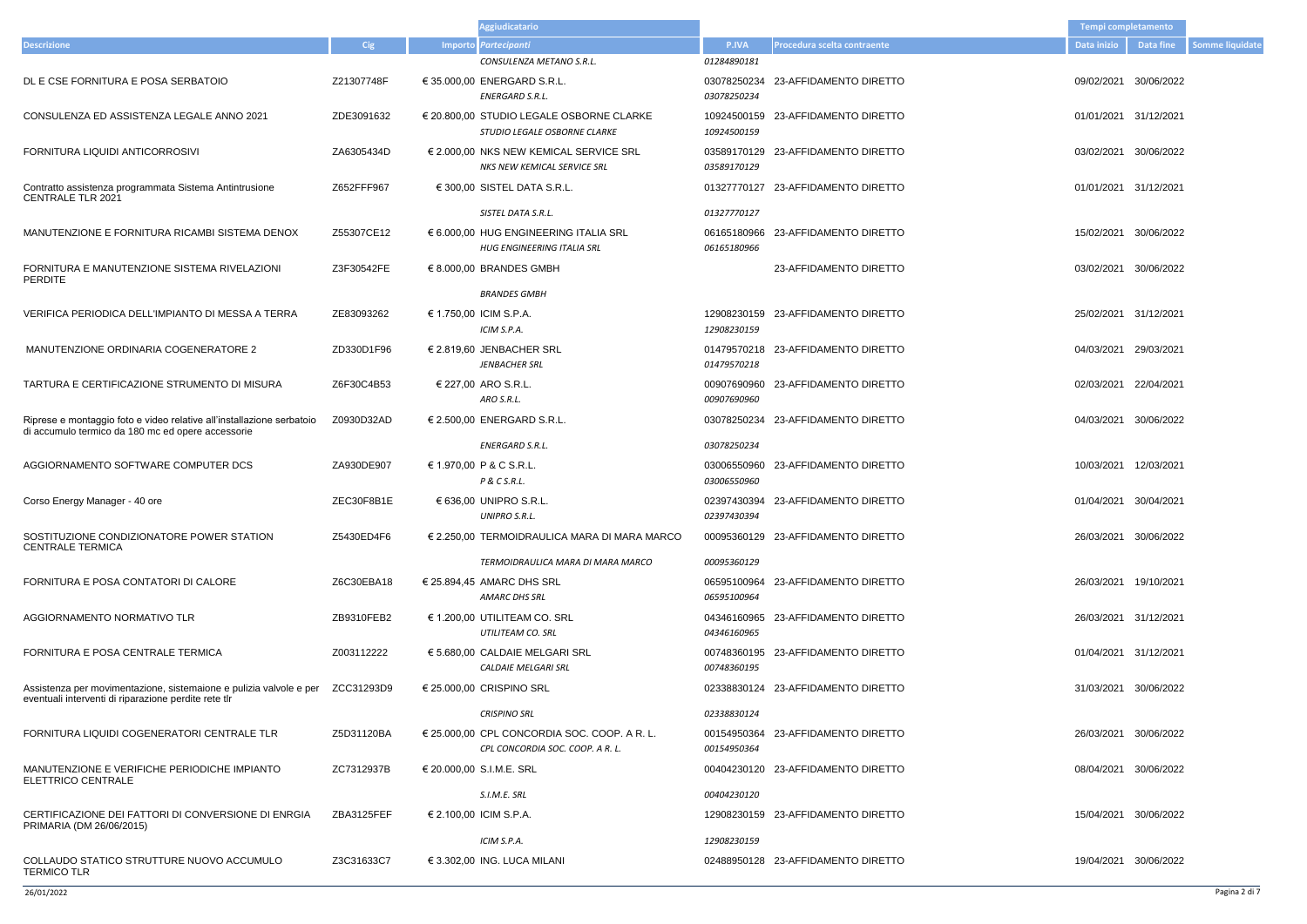- 
- 
- 
- 01/01/2021 31/12/2021
- 
- 03/02/2021 30/06/2022
- 
- 
- 
- 04/03/2021 30/06/2022
- 
- 
- 26/03/2021 30/06/2022
- 
- 
- 
- 31/03/2021 30/06/2022
- 
- 08/04/2021 30/06/2022
- 15/04/2021 30/06/2022
- 19/04/2021 30/06/2022

|                                                                                                                            |            | <b>Aggiudicatario</b>                                                                |                            |                                    | <b>Tempi completamento</b> |            |
|----------------------------------------------------------------------------------------------------------------------------|------------|--------------------------------------------------------------------------------------|----------------------------|------------------------------------|----------------------------|------------|
| <b>Descrizione</b>                                                                                                         | <b>Cig</b> | Importo Partecipanti                                                                 | P.IVA                      | Procedura scelta contraente        | Data inizio                | Data fine  |
|                                                                                                                            |            | CONSULENZA METANO S.R.L.                                                             | 01284890181                |                                    |                            |            |
| DL E CSE FORNITURA E POSA SERBATOIO                                                                                        | Z21307748F | € 35.000,00 ENERGARD S.R.L.<br>ENERGARD S.R.L.                                       | 03078250234<br>03078250234 | 23-AFFIDAMENTO DIRETTO             | 09/02/2021                 | 30/06/2022 |
| CONSULENZA ED ASSISTENZA LEGALE ANNO 2021                                                                                  | ZDE3091632 | € 20.800,00 STUDIO LEGALE OSBORNE CLARKE<br>STUDIO LEGALE OSBORNE CLARKE             | 10924500159<br>10924500159 | 23-AFFIDAMENTO DIRETTO             | 01/01/2021 31/12/2021      |            |
| FORNITURA LIQUIDI ANTICORROSIVI                                                                                            | ZA6305434D | € 2.000,00 NKS NEW KEMICAL SERVICE SRL<br>NKS NEW KEMICAL SERVICE SRL                | 03589170129                | 03589170129 23-AFFIDAMENTO DIRETTO | 03/02/2021                 | 30/06/2022 |
| Contratto assistenza programmata Sistema Antintrusione<br><b>CENTRALE TLR 2021</b>                                         | Z652FFF967 | € 300,00 SISTEL DATA S.R.L.                                                          | 01327770127                | 23-AFFIDAMENTO DIRETTO             | 01/01/2021                 | 31/12/2021 |
|                                                                                                                            |            | SISTEL DATA S.R.L.                                                                   | 01327770127                |                                    |                            |            |
| MANUTENZIONE E FORNITURA RICAMBI SISTEMA DENOX                                                                             | Z55307CE12 | € 6.000,00 HUG ENGINEERING ITALIA SRL<br>HUG ENGINEERING ITALIA SRL                  | 06165180966<br>06165180966 | 23-AFFIDAMENTO DIRETTO             | 15/02/2021                 | 30/06/2022 |
| FORNITURA E MANUTENZIONE SISTEMA RIVELAZIONI<br><b>PERDITE</b>                                                             | Z3F30542FE | $\in$ 8.000.00 BRANDES GMBH                                                          |                            | 23-AFFIDAMENTO DIRETTO             | 03/02/2021                 | 30/06/2022 |
|                                                                                                                            |            | <b>BRANDES GMBH</b>                                                                  |                            |                                    |                            |            |
| VERIFICA PERIODICA DELL'IMPIANTO DI MESSA A TERRA                                                                          | ZE83093262 | € 1.750,00 ICIM S.P.A.<br>ICIM S.P.A.                                                | 12908230159<br>12908230159 | 23-AFFIDAMENTO DIRETTO             | 25/02/2021                 | 31/12/2021 |
| MANUTENZIONE ORDINARIA COGENERATORE 2                                                                                      | ZD330D1F96 | € 2.819,60 JENBACHER SRL<br><b>JENBACHER SRL</b>                                     | 01479570218                | 01479570218 23-AFFIDAMENTO DIRETTO | 04/03/2021                 | 29/03/2021 |
| TARTURA E CERTIFICAZIONE STRUMENTO DI MISURA                                                                               | Z6F30C4B53 | € 227,00 ARO S.R.L.<br>ARO S.R.L.                                                    | 00907690960<br>00907690960 | 23-AFFIDAMENTO DIRETTO             | 02/03/2021                 | 22/04/2021 |
| Riprese e montaggio foto e video relative all'installazione serbatoio<br>di accumulo termico da 180 mc ed opere accessorie | Z0930D32AD | € 2.500,00 ENERGARD S.R.L.                                                           | 03078250234                | 23-AFFIDAMENTO DIRETTO             | 04/03/2021                 | 30/06/2022 |
|                                                                                                                            |            | ENERGARD S.R.L.                                                                      | 03078250234                |                                    |                            |            |
| AGGIORNAMENTO SOFTWARE COMPUTER DCS                                                                                        | ZA930DE907 | € 1.970,00 P & C S.R.L.<br>P & C S.R.L.                                              | 03006550960<br>03006550960 | 23-AFFIDAMENTO DIRETTO             | 10/03/2021                 | 12/03/2021 |
| Corso Energy Manager - 40 ore                                                                                              | ZEC30F8B1E | € 636,00 UNIPRO S.R.L.<br>UNIPRO S.R.L.                                              | 02397430394                | 02397430394 23-AFFIDAMENTO DIRETTO | 01/04/2021                 | 30/04/2021 |
| SOSTITUZIONE CONDIZIONATORE POWER STATION<br><b>CENTRALE TERMICA</b>                                                       | Z5430ED4F6 | $\epsilon$ 2.250,00 TERMOIDRAULICA MARA DI MARA MARCO                                |                            | 00095360129 23-AFFIDAMENTO DIRETTO | 26/03/2021                 | 30/06/2022 |
|                                                                                                                            |            | TERMOIDRAULICA MARA DI MARA MARCO                                                    | 00095360129                |                                    |                            |            |
| FORNITURA E POSA CONTATORI DI CALORE                                                                                       | Z6C30EBA18 | € 25.894,45 AMARC DHS SRL<br><b>AMARC DHS SRL</b>                                    | 06595100964<br>06595100964 | 23-AFFIDAMENTO DIRETTO             | 26/03/2021                 | 19/10/2021 |
| AGGIORNAMENTO NORMATIVO TLR                                                                                                | ZB9310FEB2 | $\in$ 1.200.00 UTILITEAM CO. SRL<br>UTILITEAM CO. SRL                                | 04346160965                | 04346160965 23-AFFIDAMENTO DIRETTO | 26/03/2021                 | 31/12/2021 |
| FORNITURA E POSA CENTRALE TERMICA                                                                                          | Z003112222 | € 5.680,00 CALDAIE MELGARI SRL<br><b>CALDAIE MELGARI SRL</b>                         | 00748360195<br>00748360195 | 23-AFFIDAMENTO DIRETTO             | 01/04/2021 31/12/2021      |            |
| Assistenza per movimentazione, sistemaione e pulizia valvole e per<br>eventuali interventi di riparazione perdite rete tlr | ZCC31293D9 | € 25.000,00 CRISPINO SRL                                                             |                            | 02338830124 23-AFFIDAMENTO DIRETTO | 31/03/2021                 | 30/06/2022 |
|                                                                                                                            |            | <b>CRISPINO SRL</b>                                                                  | 02338830124                |                                    |                            |            |
| FORNITURA LIQUIDI COGENERATORI CENTRALE TLR                                                                                | Z5D31120BA | $\in$ 25.000,00 CPL CONCORDIA SOC. COOP. A R. L.<br>CPL CONCORDIA SOC. COOP. A R. L. | 00154950364<br>00154950364 | 23-AFFIDAMENTO DIRETTO             | 26/03/2021                 | 30/06/2022 |
| MANUTENZIONE E VERIFICHE PERIODICHE IMPIANTO<br>ELETTRICO CENTRALE                                                         | ZC7312937B | € 20.000,00 S.I.M.E. SRL                                                             |                            | 00404230120 23-AFFIDAMENTO DIRETTO | 08/04/2021                 | 30/06/2022 |
|                                                                                                                            |            | S.I.M.E. SRL                                                                         | 00404230120                |                                    |                            |            |
| CERTIFICAZIONE DEI FATTORI DI CONVERSIONE DI ENRGIA<br>PRIMARIA (DM 26/06/2015)                                            | ZBA3125FEF | € 2.100,00 ICIM S.P.A.                                                               |                            | 12908230159 23-AFFIDAMENTO DIRETTO | 15/04/2021                 | 30/06/2022 |
|                                                                                                                            |            | ICIM S.P.A.                                                                          | 12908230159                |                                    |                            |            |
| COLLAUDO STATICO STRUTTURE NUOVO ACCUMULO<br><b>TERMICO TLR</b>                                                            | Z3C31633C7 | € 3.302,00 ING. LUCA MILANI                                                          |                            | 02488950128 23-AFFIDAMENTO DIRETTO | 19/04/2021                 | 30/06/2022 |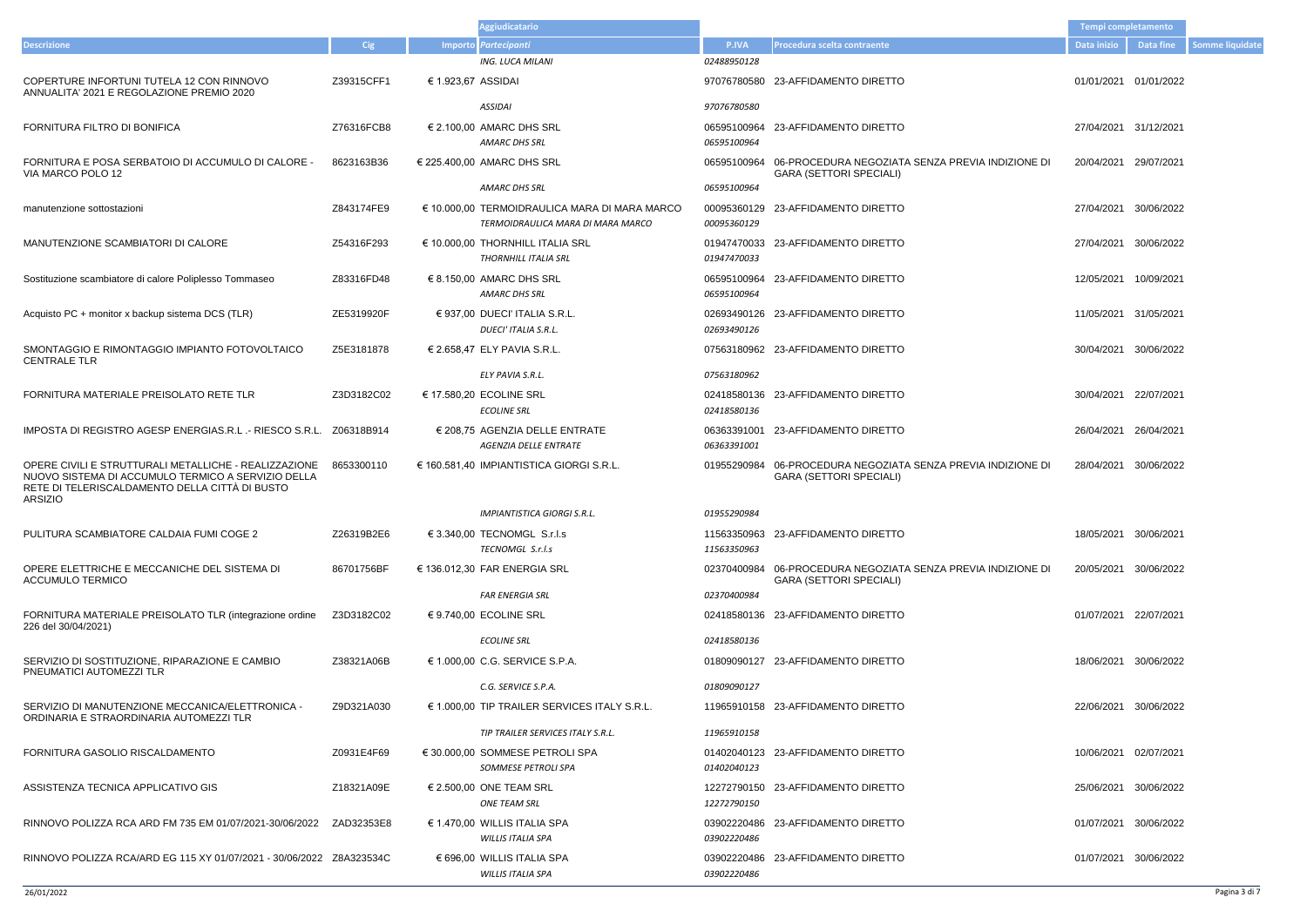|                                                                                                                                                                          |            |                    | <b>Aggiudicatario</b>                                                              |             |                                                                                                | Tempi completamento   |                       |                        |
|--------------------------------------------------------------------------------------------------------------------------------------------------------------------------|------------|--------------------|------------------------------------------------------------------------------------|-------------|------------------------------------------------------------------------------------------------|-----------------------|-----------------------|------------------------|
| <b>Descrizione</b>                                                                                                                                                       | <b>Cig</b> |                    | Importo Partecipanti                                                               | P.IVA       | Procedura scelta contraente                                                                    | <b>Data inizio</b>    | <b>Data fine</b>      | <b>Somme liquidate</b> |
|                                                                                                                                                                          |            |                    | <b>ING. LUCA MILANI</b>                                                            | 02488950128 |                                                                                                |                       |                       |                        |
| COPERTURE INFORTUNI TUTELA 12 CON RINNOVO<br>ANNUALITA' 2021 E REGOLAZIONE PREMIO 2020                                                                                   | Z39315CFF1 | € 1.923,67 ASSIDAI |                                                                                    |             | 97076780580 23-AFFIDAMENTO DIRETTO                                                             | 01/01/2021 01/01/2022 |                       |                        |
|                                                                                                                                                                          |            |                    | ASSIDAI                                                                            | 97076780580 |                                                                                                |                       |                       |                        |
| FORNITURA FILTRO DI BONIFICA                                                                                                                                             | Z76316FCB8 |                    | $\in$ 2.100,00 AMARC DHS SRL<br><b>AMARC DHS SRL</b>                               | 06595100964 | 06595100964 23-AFFIDAMENTO DIRETTO                                                             |                       | 27/04/2021 31/12/2021 |                        |
| FORNITURA E POSA SERBATOIO DI ACCUMULO DI CALORE -<br>VIA MARCO POLO 12                                                                                                  | 8623163B36 |                    | € 225.400,00 AMARC DHS SRL                                                         |             | 06595100964 06-PROCEDURA NEGOZIATA SENZA PREVIA INDIZIONE DI<br><b>GARA (SETTORI SPECIALI)</b> | 20/04/2021 29/07/2021 |                       |                        |
|                                                                                                                                                                          |            |                    | AMARC DHS SRL                                                                      | 06595100964 |                                                                                                |                       |                       |                        |
| manutenzione sottostazioni                                                                                                                                               | Z843174FE9 |                    | € 10.000,00 TERMOIDRAULICA MARA DI MARA MARCO<br>TERMOIDRAULICA MARA DI MARA MARCO | 00095360129 | 00095360129 23-AFFIDAMENTO DIRETTO                                                             |                       | 27/04/2021 30/06/2022 |                        |
| MANUTENZIONE SCAMBIATORI DI CALORE                                                                                                                                       | Z54316F293 |                    | € 10.000,00 THORNHILL ITALIA SRL<br>THORNHILL ITALIA SRL                           | 01947470033 | 01947470033 23-AFFIDAMENTO DIRETTO                                                             |                       | 27/04/2021 30/06/2022 |                        |
| Sostituzione scambiatore di calore Poliplesso Tommaseo                                                                                                                   | Z83316FD48 |                    | $\in$ 8.150.00 AMARC DHS SRL<br>AMARC DHS SRL                                      | 06595100964 | 06595100964 23-AFFIDAMENTO DIRETTO                                                             |                       | 12/05/2021 10/09/2021 |                        |
| Acquisto PC + monitor x backup sistema DCS (TLR)                                                                                                                         | ZE5319920F |                    | $\in$ 937.00 DUECI' ITALIA S.R.L.<br><b>DUECI' ITALIA S.R.L.</b>                   | 02693490126 | 02693490126 23-AFFIDAMENTO DIRETTO                                                             |                       | 11/05/2021 31/05/2021 |                        |
| SMONTAGGIO E RIMONTAGGIO IMPIANTO FOTOVOLTAICO<br><b>CENTRALE TLR</b>                                                                                                    | Z5E3181878 |                    | € 2.658,47 ELY PAVIA S.R.L.                                                        |             | 07563180962 23-AFFIDAMENTO DIRETTO                                                             | 30/04/2021 30/06/2022 |                       |                        |
|                                                                                                                                                                          |            |                    | ELY PAVIA S.R.L.                                                                   | 07563180962 |                                                                                                |                       |                       |                        |
| FORNITURA MATERIALE PREISOLATO RETE TLR                                                                                                                                  | Z3D3182C02 |                    | € 17.580,20 ECOLINE SRL<br><b>ECOLINE SRL</b>                                      | 02418580136 | 02418580136 23-AFFIDAMENTO DIRETTO                                                             | 30/04/2021 22/07/2021 |                       |                        |
| IMPOSTA DI REGISTRO AGESP ENERGIAS.R.L. - RIESCO S.R.L. Z06318B914                                                                                                       |            |                    | € 208,75 AGENZIA DELLE ENTRATE<br><b>AGENZIA DELLE ENTRATE</b>                     | 06363391001 | 06363391001 23-AFFIDAMENTO DIRETTO                                                             | 26/04/2021 26/04/2021 |                       |                        |
| OPERE CIVILI E STRUTTURALI METALLICHE - REALIZZAZIONE<br>NUOVO SISTEMA DI ACCUMULO TERMICO A SERVIZIO DELLA<br>RETE DI TELERISCALDAMENTO DELLA CITTÀ DI BUSTO<br>ARSIZIO | 8653300110 |                    | € 160.581,40 IMPIANTISTICA GIORGI S.R.L.                                           | 01955290984 | 06-PROCEDURA NEGOZIATA SENZA PREVIA INDIZIONE DI<br><b>GARA (SETTORI SPECIALI)</b>             |                       | 28/04/2021 30/06/2022 |                        |
|                                                                                                                                                                          |            |                    | <b>IMPIANTISTICA GIORGI S.R.L.</b>                                                 | 01955290984 |                                                                                                |                       |                       |                        |
| PULITURA SCAMBIATORE CALDAIA FUMI COGE 2                                                                                                                                 | Z26319B2E6 |                    | € 3.340,00 TECNOMGL S.r.l.s<br>TECNOMGL S.r.l.s                                    | 11563350963 | 11563350963 23-AFFIDAMENTO DIRETTO                                                             |                       | 18/05/2021 30/06/2021 |                        |
| OPERE ELETTRICHE E MECCANICHE DEL SISTEMA DI<br><b>ACCUMULO TERMICO</b>                                                                                                  | 86701756BF |                    | € 136.012,30 FAR ENERGIA SRL                                                       |             | 02370400984 06-PROCEDURA NEGOZIATA SENZA PREVIA INDIZIONE DI<br><b>GARA (SETTORI SPECIALI)</b> |                       | 20/05/2021 30/06/2022 |                        |
|                                                                                                                                                                          |            |                    | <b>FAR ENERGIA SRL</b>                                                             | 02370400984 |                                                                                                |                       |                       |                        |
| FORNITURA MATERIALE PREISOLATO TLR (integrazione ordine<br>226 del 30/04/2021)                                                                                           | Z3D3182C02 |                    | € 9.740,00 ECOLINE SRL                                                             |             | 02418580136 23-AFFIDAMENTO DIRETTO                                                             | 01/07/2021 22/07/2021 |                       |                        |
|                                                                                                                                                                          |            |                    | <b>ECOLINE SRL</b>                                                                 | 02418580136 |                                                                                                |                       |                       |                        |
| SERVIZIO DI SOSTITUZIONE, RIPARAZIONE E CAMBIO<br>PNEUMATICI AUTOMEZZI TLR                                                                                               | Z38321A06B |                    | € 1.000,00 C.G. SERVICE S.P.A.<br>C.G. SERVICE S.P.A.                              | 01809090127 | 01809090127 23-AFFIDAMENTO DIRETTO                                                             |                       | 18/06/2021 30/06/2022 |                        |
| SERVIZIO DI MANUTENZIONE MECCANICA/ELETTRONICA -<br>ORDINARIA E STRAORDINARIA AUTOMEZZI TLR                                                                              | Z9D321A030 |                    | $\epsilon$ 1.000,00 TIP TRAILER SERVICES ITALY S.R.L.                              |             | 11965910158 23-AFFIDAMENTO DIRETTO                                                             |                       | 22/06/2021 30/06/2022 |                        |
|                                                                                                                                                                          |            |                    | TIP TRAILER SERVICES ITALY S.R.L.                                                  | 11965910158 |                                                                                                |                       |                       |                        |
| FORNITURA GASOLIO RISCALDAMENTO                                                                                                                                          | Z0931E4F69 |                    | € 30.000,00 SOMMESE PETROLI SPA<br>SOMMESE PETROLI SPA                             | 01402040123 | 01402040123 23-AFFIDAMENTO DIRETTO                                                             |                       | 10/06/2021 02/07/2021 |                        |
| ASSISTENZA TECNICA APPLICATIVO GIS                                                                                                                                       | Z18321A09E |                    | € 2.500,00 ONE TEAM SRL<br><b>ONE TEAM SRL</b>                                     | 12272790150 | 12272790150 23-AFFIDAMENTO DIRETTO                                                             |                       | 25/06/2021 30/06/2022 |                        |
| RINNOVO POLIZZA RCA ARD FM 735 EM 01/07/2021-30/06/2022                                                                                                                  | ZAD32353E8 |                    | $\in$ 1.470,00 WILLIS ITALIA SPA<br><b>WILLIS ITALIA SPA</b>                       | 03902220486 | 03902220486 23-AFFIDAMENTO DIRETTO                                                             | 01/07/2021 30/06/2022 |                       |                        |
|                                                                                                                                                                          |            |                    | € 696,00 WILLIS ITALIA SPA<br><b>WILLIS ITALIA SPA</b>                             | 03902220486 | 03902220486 23-AFFIDAMENTO DIRETTO                                                             |                       | 01/07/2021 30/06/2022 |                        |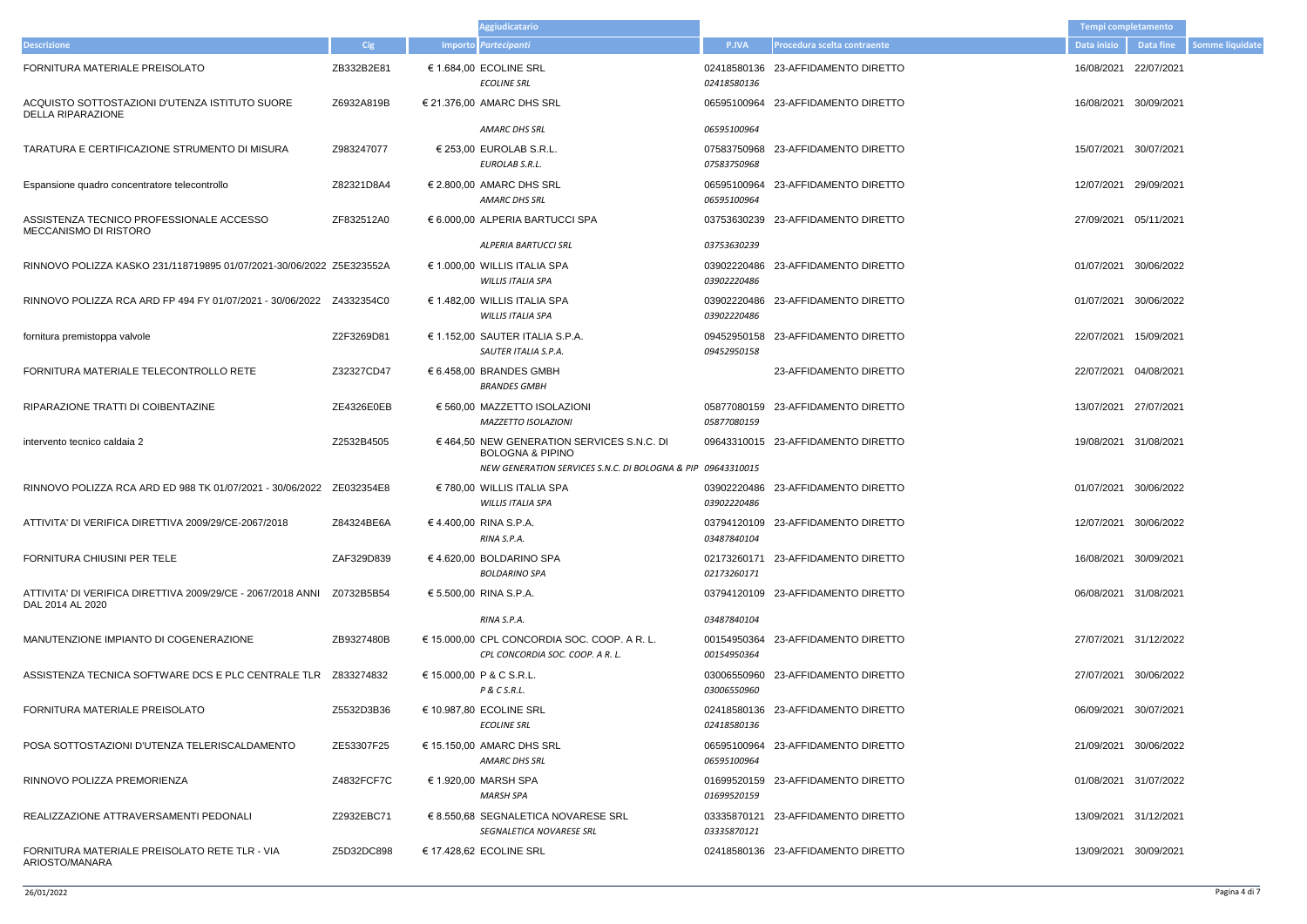|                                                                            |            | <b>Aggiudicatario</b>                                                                                                                    |                                   |                                    | Tempi completamento   |                       |
|----------------------------------------------------------------------------|------------|------------------------------------------------------------------------------------------------------------------------------------------|-----------------------------------|------------------------------------|-----------------------|-----------------------|
| <b>Descrizione</b>                                                         | Cig        | Importo Partecipanti                                                                                                                     | <b>P.IVA</b>                      | Procedura scelta contraente        | Data inizio           | Data fine             |
| FORNITURA MATERIALE PREISOLATO                                             | ZB332B2E81 | € 1.684,00 ECOLINE SRL<br><b>ECOLINE SRL</b>                                                                                             | 02418580136<br>02418580136        | 23-AFFIDAMENTO DIRETTO             | 16/08/2021            | 22/07/2021            |
| ACQUISTO SOTTOSTAZIONI D'UTENZA ISTITUTO SUORE<br><b>DELLA RIPARAZIONE</b> | Z6932A819B | € 21.376,00 AMARC DHS SRL                                                                                                                |                                   | 06595100964 23-AFFIDAMENTO DIRETTO | 16/08/2021            | 30/09/2021            |
|                                                                            |            | AMARC DHS SRL                                                                                                                            | 06595100964                       |                                    |                       |                       |
| TARATURA E CERTIFICAZIONE STRUMENTO DI MISURA                              | Z983247077 | $\in$ 253.00 EUROLAB S.R.L.<br>EUROLAB S.R.L.                                                                                            | 07583750968<br>07583750968        | 23-AFFIDAMENTO DIRETTO             | 15/07/2021            | 30/07/2021            |
| Espansione quadro concentratore telecontrollo                              | Z82321D8A4 | $\in$ 2.800.00 AMARC DHS SRL<br>AMARC DHS SRL                                                                                            | 06595100964<br>06595100964        | 23-AFFIDAMENTO DIRETTO             | 12/07/2021            | 29/09/2021            |
| ASSISTENZA TECNICO PROFESSIONALE ACCESSO<br>MECCANISMO DI RISTORO          | ZF832512A0 | € 6.000,00 ALPERIA BARTUCCI SPA                                                                                                          | 03753630239                       | 23-AFFIDAMENTO DIRETTO             | 27/09/2021            | 05/11/2021            |
|                                                                            |            | <b>ALPERIA BARTUCCI SRL</b>                                                                                                              | 03753630239                       |                                    |                       |                       |
| RINNOVO POLIZZA KASKO 231/118719895 01/07/2021-30/06/2022 Z5E323552A       |            | € 1.000,00 WILLIS ITALIA SPA<br><b>WILLIS ITALIA SPA</b>                                                                                 | 03902220486<br>03902220486        | 23-AFFIDAMENTO DIRETTO             | 01/07/2021            | 30/06/2022            |
|                                                                            |            | € 1.482,00 WILLIS ITALIA SPA<br><b>WILLIS ITALIA SPA</b>                                                                                 | 03902220486<br>03902220486        | 23-AFFIDAMENTO DIRETTO             | 01/07/2021            | 30/06/2022            |
| fornitura premistoppa valvole                                              | Z2F3269D81 | € 1.152,00 SAUTER ITALIA S.P.A.<br>SAUTER ITALIA S.P.A.                                                                                  | 09452950158<br>09452950158        | 23-AFFIDAMENTO DIRETTO             | 22/07/2021            | 15/09/2021            |
| FORNITURA MATERIALE TELECONTROLLO RETE                                     | Z32327CD47 | € 6.458,00 BRANDES GMBH<br><b>BRANDES GMBH</b>                                                                                           |                                   | 23-AFFIDAMENTO DIRETTO             | 22/07/2021            | 04/08/2021            |
| RIPARAZIONE TRATTI DI COIBENTAZINE                                         | ZE4326E0EB | € 560,00 MAZZETTO ISOLAZIONI<br><b>MAZZETTO ISOLAZIONI</b>                                                                               | 05877080159<br>05877080159        | 23-AFFIDAMENTO DIRETTO             | 13/07/2021            | 27/07/2021            |
| intervento tecnico caldaia 2                                               | Z2532B4505 | € 464,50 NEW GENERATION SERVICES S.N.C. DI<br><b>BOLOGNA &amp; PIPINO</b><br>NEW GENERATION SERVICES S.N.C. DI BOLOGNA & PIP 09643310015 |                                   | 09643310015 23-AFFIDAMENTO DIRETTO |                       | 19/08/2021 31/08/2021 |
|                                                                            |            | $\in$ 780,00 WILLIS ITALIA SPA<br><b>WILLIS ITALIA SPA</b>                                                                               | 03902220486<br>03902220486        | 23-AFFIDAMENTO DIRETTO             | 01/07/2021            | 30/06/2022            |
| ATTIVITA' DI VERIFICA DIRETTIVA 2009/29/CE-2067/2018                       | Z84324BE6A | €4.400,00 RINA S.P.A.<br>RINA S.P.A.                                                                                                     | 03487840104                       | 03794120109 23-AFFIDAMENTO DIRETTO |                       | 12/07/2021 30/06/2022 |
| FORNITURA CHIUSINI PER TELE                                                | ZAF329D839 | € 4.620,00 BOLDARINO SPA<br><b>BOLDARINO SPA</b>                                                                                         | 02173260171                       | 02173260171 23-AFFIDAMENTO DIRETTO |                       | 16/08/2021 30/09/2021 |
| DAL 2014 AL 2020                                                           |            | € 5.500,00 RINA S.P.A.                                                                                                                   |                                   | 03794120109 23-AFFIDAMENTO DIRETTO |                       | 06/08/2021 31/08/2021 |
|                                                                            |            | RINA S.P.A.                                                                                                                              | 03487840104                       |                                    |                       |                       |
| MANUTENZIONE IMPIANTO DI COGENERAZIONE                                     | ZB9327480B | $\in$ 15.000,00 CPL CONCORDIA SOC. COOP. A R. L.<br>CPL CONCORDIA SOC. COOP. A R. L.                                                     | 00154950364<br>00154950364        | 23-AFFIDAMENTO DIRETTO             |                       | 27/07/2021 31/12/2022 |
|                                                                            |            | € 15.000,00 P & C S.R.L.<br>P & C S.R.L.                                                                                                 | 03006550960<br><i>03006550960</i> | 23-AFFIDAMENTO DIRETTO             |                       | 27/07/2021 30/06/2022 |
| FORNITURA MATERIALE PREISOLATO                                             | Z5532D3B36 | € 10.987,80 ECOLINE SRL<br><b>ECOLINE SRL</b>                                                                                            | 02418580136                       | 02418580136 23-AFFIDAMENTO DIRETTO |                       | 06/09/2021 30/07/2021 |
| POSA SOTTOSTAZIONI D'UTENZA TELERISCALDAMENTO                              | ZE53307F25 | € 15.150,00 AMARC DHS SRL<br>AMARC DHS SRL                                                                                               | 06595100964<br>06595100964        | 23-AFFIDAMENTO DIRETTO             |                       | 21/09/2021 30/06/2022 |
| RINNOVO POLIZZA PREMORIENZA                                                | Z4832FCF7C | € 1.920,00 MARSH SPA<br>MARSH SPA                                                                                                        | 01699520159<br>01699520159        | 23-AFFIDAMENTO DIRETTO             | 01/08/2021 31/07/2022 |                       |
| REALIZZAZIONE ATTRAVERSAMENTI PEDONALI                                     | Z2932EBC71 | $\in$ 8.550,68 SEGNALETICA NOVARESE SRL<br>SEGNALETICA NOVARESE SRL                                                                      | 03335870121                       | 03335870121 23-AFFIDAMENTO DIRETTO |                       | 13/09/2021 31/12/2021 |
| FORNITURA MATERIALE PREISOLATO RETE TLR - VIA<br>ARIOSTO/MANARA            | Z5D32DC898 | € 17.428,62 ECOLINE SRL                                                                                                                  |                                   | 02418580136 23-AFFIDAMENTO DIRETTO |                       | 13/09/2021 30/09/2021 |

|         |                                | <b>Tempi completamento</b> |                       |                        |
|---------|--------------------------------|----------------------------|-----------------------|------------------------|
| P.IVA   | Procedura scelta contraente    | Data inizio                | <b>Data fine</b>      | <b>Somme liquidate</b> |
| 8580136 | 8580136 23-AFFIDAMENTO DIRETTO | 16/08/2021 22/07/2021      |                       |                        |
|         | 5100964 23-AFFIDAMENTO DIRETTO | 16/08/2021                 | 30/09/2021            |                        |
| 5100964 |                                |                            |                       |                        |
| 3750968 | 3750968 23-AFFIDAMENTO DIRETTO | 15/07/2021                 | 30/07/2021            |                        |
| 5100964 | 5100964 23-AFFIDAMENTO DIRETTO | 12/07/2021                 | 29/09/2021            |                        |
|         | 3630239 23-AFFIDAMENTO DIRETTO | 27/09/2021 05/11/2021      |                       |                        |
| 3630239 |                                |                            |                       |                        |
| 2220486 | 2220486 23-AFFIDAMENTO DIRETTO | 01/07/2021                 | 30/06/2022            |                        |
| 2220486 | 2220486 23-AFFIDAMENTO DIRETTO | 01/07/2021                 | 30/06/2022            |                        |
| 2950158 | 2950158 23-AFFIDAMENTO DIRETTO | 22/07/2021                 | 15/09/2021            |                        |
|         | 23-AFFIDAMENTO DIRETTO         | 22/07/2021 04/08/2021      |                       |                        |
| 7080159 | 7080159 23-AFFIDAMENTO DIRETTO | 13/07/2021                 | 27/07/2021            |                        |
|         | 3310015 23-AFFIDAMENTO DIRETTO | 19/08/2021                 | 31/08/2021            |                        |
| 3310015 |                                |                            |                       |                        |
| 2220486 | 2220486 23-AFFIDAMENTO DIRETTO | 01/07/2021                 | 30/06/2022            |                        |
| 7840104 | 4120109 23-AFFIDAMENTO DIRETTO |                            | 12/07/2021 30/06/2022 |                        |
| 3260171 | 3260171 23-AFFIDAMENTO DIRETTO |                            | 16/08/2021 30/09/2021 |                        |
|         | 4120109 23-AFFIDAMENTO DIRETTO | 06/08/2021 31/08/2021      |                       |                        |
| 7840104 |                                |                            |                       |                        |
| 4950364 | 4950364 23-AFFIDAMENTO DIRETTO |                            | 27/07/2021 31/12/2022 |                        |
| 5550960 | 6550960 23-AFFIDAMENTO DIRETTO |                            | 27/07/2021 30/06/2022 |                        |
| 8580136 | 8580136 23-AFFIDAMENTO DIRETTO | 06/09/2021 30/07/2021      |                       |                        |
| 5100964 | 5100964 23-AFFIDAMENTO DIRETTO |                            | 21/09/2021 30/06/2022 |                        |
| 9520159 | 9520159 23-AFFIDAMENTO DIRETTO |                            | 01/08/2021 31/07/2022 |                        |
| 5870121 | 5870121 23-AFFIDAMENTO DIRETTO | 13/09/2021 31/12/2021      |                       |                        |
|         | 8580136 23-AFFIDAMENTO DIRETTO | 13/09/2021 30/09/2021      |                       |                        |

 $\sim$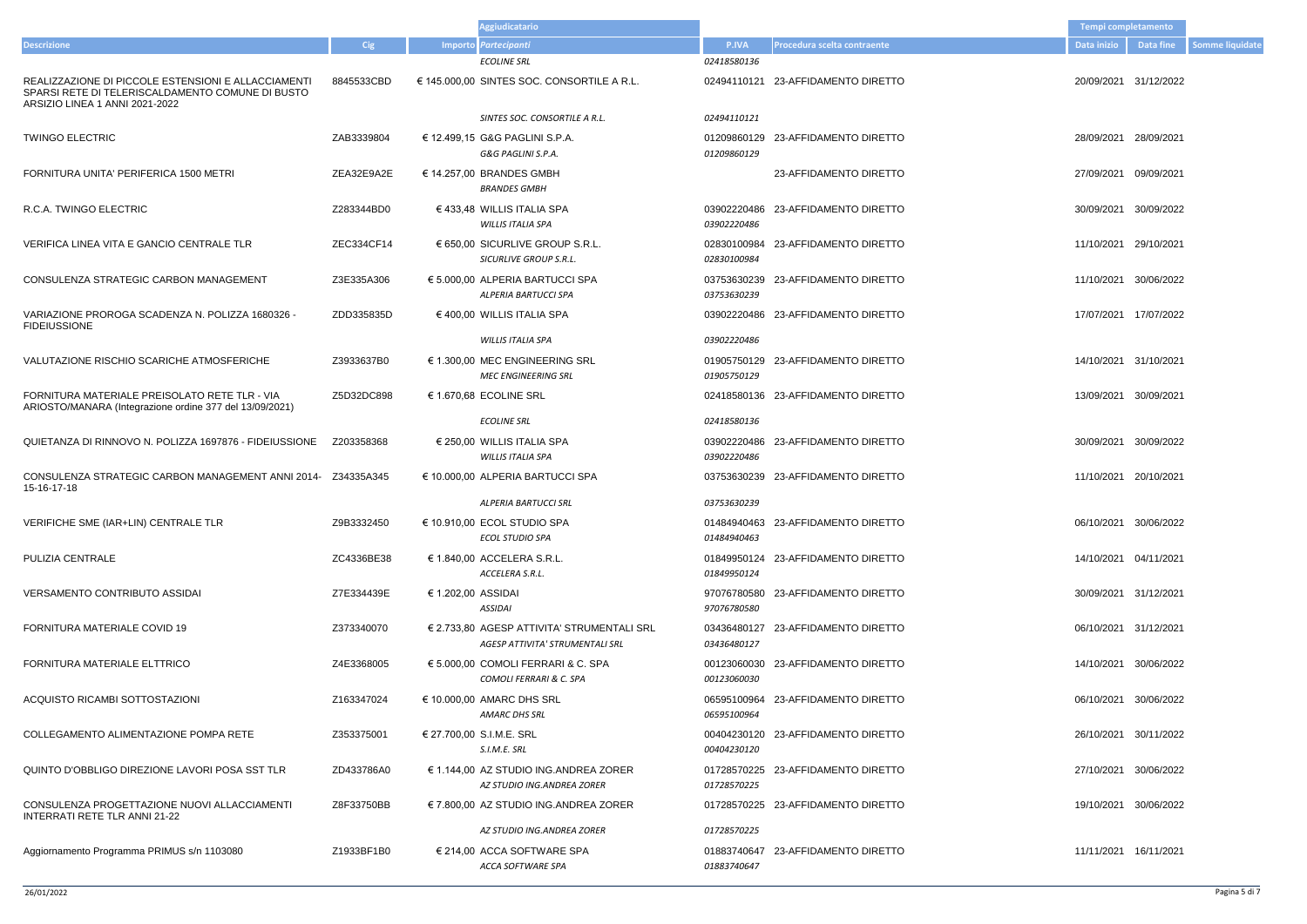- 8845533CBD € 145.000,00 SINTES SOC. CONSORTILE A R.L. 02494110121 23-AFFIDAMENTO DIRETTO 20/09/2021 31/12/2022
- 
- 
- 
- 
- 
- ZDD335835D € 400,00 WILLIS ITALIA SPA 03902220486 23-AFFIDAMENTO DIRETTO 17/07/2021 17/07/2022
- 
- 13/09/2021 30/09/2021
- 
- Z34335A345 € 10.000,00 ALPERIA BARTUCCI SPA 03753630239 23-AFFIDAMENTO DIRETTO 11/10/2021 20/10/2021
- 
- 
- 
- 
- 
- 
- 
- 
- 19/10/2021 30/06/2022
- 

|                                                                                                                                           |            |                    | Aggiudicatario                                                                                |                            |                                    | Tempi completamento   |            |
|-------------------------------------------------------------------------------------------------------------------------------------------|------------|--------------------|-----------------------------------------------------------------------------------------------|----------------------------|------------------------------------|-----------------------|------------|
| <b>Descrizione</b>                                                                                                                        | <b>Cig</b> |                    | Importo Partecipanti                                                                          | P.IVA                      | Procedura scelta contraente        | Data inizio           | Data fine  |
|                                                                                                                                           |            |                    | <b>ECOLINE SRL</b>                                                                            | 02418580136                |                                    |                       |            |
| REALIZZAZIONE DI PICCOLE ESTENSIONI E ALLACCIAMENTI<br>SPARSI RETE DI TELERISCALDAMENTO COMUNE DI BUSTO<br>ARSIZIO LINEA 1 ANNI 2021-2022 | 8845533CBD |                    | $\epsilon$ 145.000,00 SINTES SOC. CONSORTILE A R.L.                                           | 02494110121                | 23-AFFIDAMENTO DIRETTO             | 20/09/2021            | 31/12/2022 |
|                                                                                                                                           |            |                    | SINTES SOC. CONSORTILE A R.L.                                                                 | 02494110121                |                                    |                       |            |
| <b>TWINGO ELECTRIC</b>                                                                                                                    | ZAB3339804 |                    | € 12.499,15 G&G PAGLINI S.P.A.<br>G&G PAGLINI S.P.A.                                          | 01209860129<br>01209860129 | 23-AFFIDAMENTO DIRETTO             | 28/09/2021            | 28/09/2021 |
| FORNITURA UNITA' PERIFERICA 1500 METRI                                                                                                    | ZEA32E9A2E |                    | € 14.257,00 BRANDES GMBH<br><b>BRANDES GMBH</b>                                               |                            | 23-AFFIDAMENTO DIRETTO             | 27/09/2021            | 09/09/2021 |
| R.C.A. TWINGO ELECTRIC                                                                                                                    | Z283344BD0 |                    | $\in$ 433,48 WILLIS ITALIA SPA<br>WILLIS ITALIA SPA                                           | 03902220486<br>03902220486 | 23-AFFIDAMENTO DIRETTO             | 30/09/2021            | 30/09/2022 |
| VERIFICA LINEA VITA E GANCIO CENTRALE TLR                                                                                                 | ZEC334CF14 |                    | $\epsilon$ 650,00 SICURLIVE GROUP S.R.L.<br>SICURLIVE GROUP S.R.L.                            | 02830100984<br>02830100984 | 23-AFFIDAMENTO DIRETTO             | 11/10/2021            | 29/10/2021 |
| CONSULENZA STRATEGIC CARBON MANAGEMENT                                                                                                    | Z3E335A306 |                    | € 5.000,00 ALPERIA BARTUCCI SPA<br>ALPERIA BARTUCCI SPA                                       | 03753630239<br>03753630239 | 23-AFFIDAMENTO DIRETTO             | 11/10/2021            | 30/06/2022 |
| VARIAZIONE PROROGA SCADENZA N. POLIZZA 1680326 -<br><b>FIDEIUSSIONE</b>                                                                   | ZDD335835D |                    | € 400,00 WILLIS ITALIA SPA                                                                    | 03902220486                | 23-AFFIDAMENTO DIRETTO             | 17/07/2021            | 17/07/2022 |
|                                                                                                                                           |            |                    | WILLIS ITALIA SPA                                                                             | 03902220486                |                                    |                       |            |
| VALUTAZIONE RISCHIO SCARICHE ATMOSFERICHE                                                                                                 | Z3933637B0 |                    | € 1.300,00 MEC ENGINEERING SRL<br><b>MEC ENGINEERING SRL</b>                                  | 01905750129                | 01905750129 23-AFFIDAMENTO DIRETTO | 14/10/2021 31/10/2021 |            |
| FORNITURA MATERIALE PREISOLATO RETE TLR - VIA<br>ARIOSTO/MANARA (Integrazione ordine 377 del 13/09/2021)                                  | Z5D32DC898 |                    | € 1.670,68 ECOLINE SRL                                                                        | 02418580136                | 23-AFFIDAMENTO DIRETTO             | 13/09/2021            | 30/09/2021 |
|                                                                                                                                           |            |                    | <b>ECOLINE SRL</b>                                                                            | 02418580136                |                                    |                       |            |
| QUIETANZA DI RINNOVO N. POLIZZA 1697876 - FIDEIUSSIONE                                                                                    | Z203358368 |                    | $\in$ 250,00 WILLIS ITALIA SPA<br><b>WILLIS ITALIA SPA</b>                                    | 03902220486<br>03902220486 | 23-AFFIDAMENTO DIRETTO             | 30/09/2021            | 30/09/2022 |
| CONSULENZA STRATEGIC CARBON MANAGEMENT ANNI 2014- Z34335A345<br>15-16-17-18                                                               |            |                    | € 10.000,00 ALPERIA BARTUCCI SPA<br>ALPERIA BARTUCCI SRL                                      | 03753630239<br>03753630239 | 23-AFFIDAMENTO DIRETTO             | 11/10/2021            | 20/10/2021 |
|                                                                                                                                           |            |                    |                                                                                               |                            |                                    |                       |            |
| VERIFICHE SME (IAR+LIN) CENTRALE TLR                                                                                                      | Z9B3332450 |                    | € 10.910,00 ECOL STUDIO SPA<br><b>ECOL STUDIO SPA</b>                                         | 01484940463                | 01484940463 23-AFFIDAMENTO DIRETTO | 06/10/2021 30/06/2022 |            |
| PULIZIA CENTRALE                                                                                                                          | ZC4336BE38 |                    | € 1.840,00 ACCELERA S.R.L.<br>ACCELERA S.R.L.                                                 | 01849950124                | 01849950124 23-AFFIDAMENTO DIRETTO | 14/10/2021 04/11/2021 |            |
| <b>VERSAMENTO CONTRIBUTO ASSIDAI</b>                                                                                                      | Z7E334439E | € 1.202,00 ASSIDAI | <b>ASSIDAI</b>                                                                                | 97076780580<br>97076780580 | 23-AFFIDAMENTO DIRETTO             | 30/09/2021 31/12/2021 |            |
| FORNITURA MATERIALE COVID 19                                                                                                              | Z373340070 |                    | $\epsilon$ 2.733,80 AGESP ATTIVITA' STRUMENTALI SRL<br><b>AGESP ATTIVITA' STRUMENTALI SRL</b> | 03436480127<br>03436480127 | 23-AFFIDAMENTO DIRETTO             | 06/10/2021 31/12/2021 |            |
| FORNITURA MATERIALE ELTTRICO                                                                                                              | Z4E3368005 |                    | $\epsilon$ 5.000.00 COMOLI FERRARI & C. SPA<br>COMOLI FERRARI & C. SPA                        | 00123060030<br>00123060030 | 23-AFFIDAMENTO DIRETTO             | 14/10/2021 30/06/2022 |            |
| ACQUISTO RICAMBI SOTTOSTAZIONI                                                                                                            | Z163347024 |                    | € 10.000,00 AMARC DHS SRL<br>AMARC DHS SRL                                                    | 06595100964<br>06595100964 | 23-AFFIDAMENTO DIRETTO             | 06/10/2021 30/06/2022 |            |
| COLLEGAMENTO ALIMENTAZIONE POMPA RETE                                                                                                     | Z353375001 |                    | € 27.700,00 S.I.M.E. SRL<br>S.I.M.E. SRL                                                      | 00404230120                | 00404230120 23-AFFIDAMENTO DIRETTO | 26/10/2021 30/11/2022 |            |
| QUINTO D'OBBLIGO DIREZIONE LAVORI POSA SST TLR                                                                                            | ZD433786A0 |                    | $\epsilon$ 1.144,00 AZ STUDIO ING.ANDREA ZORER<br>AZ STUDIO ING.ANDREA ZORER                  | 01728570225<br>01728570225 | 23-AFFIDAMENTO DIRETTO             | 27/10/2021 30/06/2022 |            |
| CONSULENZA PROGETTAZIONE NUOVI ALLACCIAMENTI<br>INTERRATI RETE TLR ANNI 21-22                                                             | Z8F33750BB |                    | € 7.800,00 AZ STUDIO ING.ANDREA ZORER                                                         |                            | 01728570225 23-AFFIDAMENTO DIRETTO | 19/10/2021 30/06/2022 |            |
|                                                                                                                                           |            |                    | AZ STUDIO ING.ANDREA ZORER                                                                    | 01728570225                |                                    |                       |            |
| Aggiornamento Programma PRIMUS s/n 1103080                                                                                                | Z1933BF1B0 |                    | € 214,00 ACCA SOFTWARE SPA<br><b>ACCA SOFTWARE SPA</b>                                        | 01883740647<br>01883740647 | 23-AFFIDAMENTO DIRETTO             | 11/11/2021            | 16/11/2021 |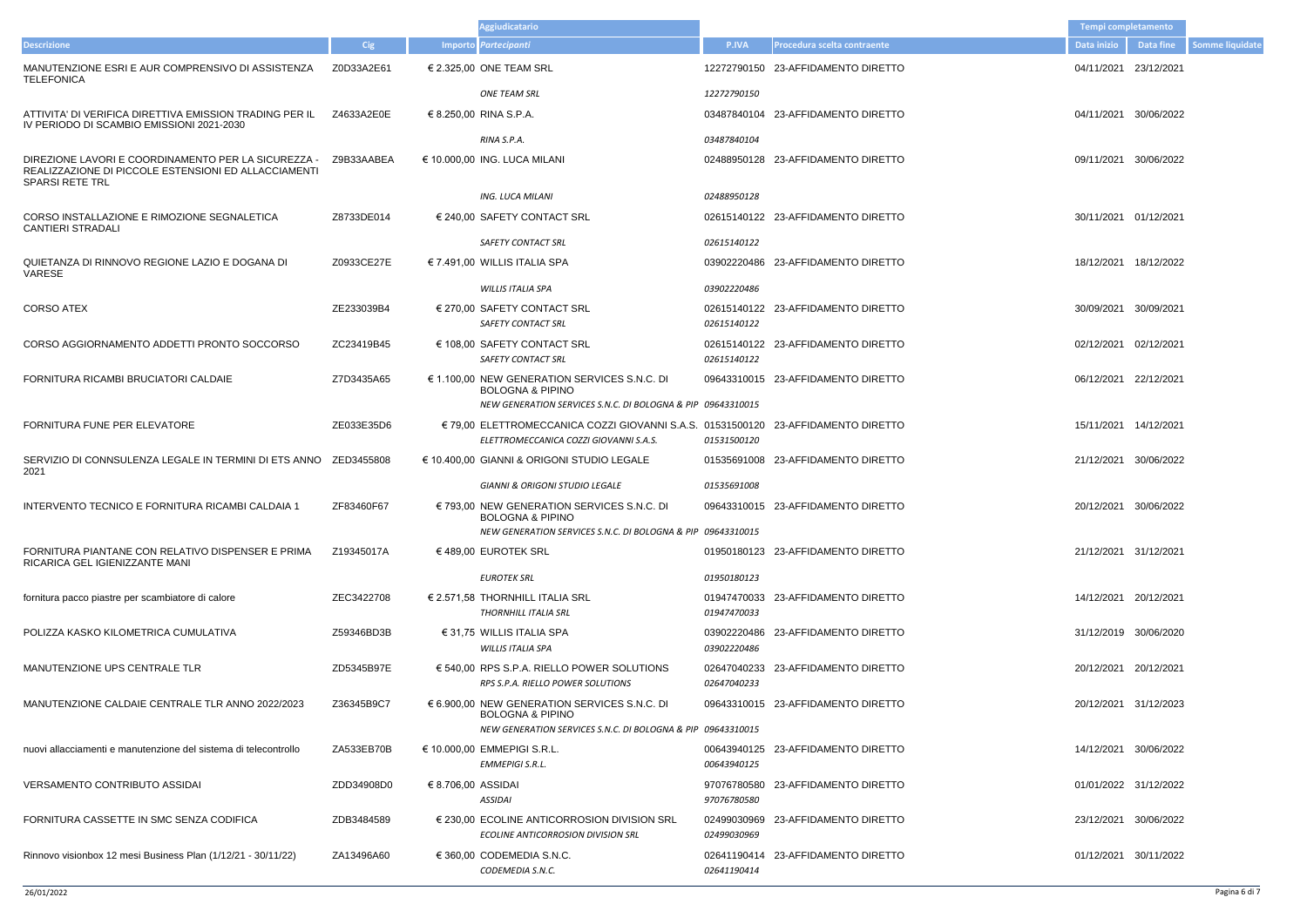|                    |                                | Tempi completamento   |                       |                        |
|--------------------|--------------------------------|-----------------------|-----------------------|------------------------|
| P.IVA              | Procedura scelta contraente    | Data inizio           | <b>Data fine</b>      | <b>Somme liquidate</b> |
|                    | 2790150 23-AFFIDAMENTO DIRETTO | 04/11/2021 23/12/2021 |                       |                        |
| 2790150            | 7840104 23-AFFIDAMENTO DIRETTO |                       | 04/11/2021 30/06/2022 |                        |
| 7840104            | 8950128 23-AFFIDAMENTO DIRETTO |                       | 09/11/2021 30/06/2022 |                        |
| 8950128            | 5140122 23-AFFIDAMENTO DIRETTO | 30/11/2021 01/12/2021 |                       |                        |
| 5140122            |                                |                       |                       |                        |
|                    | 2220486 23-AFFIDAMENTO DIRETTO |                       | 18/12/2021 18/12/2022 |                        |
| 2220486<br>5140122 | 5140122 23-AFFIDAMENTO DIRETTO | 30/09/2021 30/09/2021 |                       |                        |
| 5140122            | 5140122 23-AFFIDAMENTO DIRETTO | 02/12/2021 02/12/2021 |                       |                        |
|                    | 3310015 23-AFFIDAMENTO DIRETTO | 06/12/2021 22/12/2021 |                       |                        |
| 3310015<br>1500120 | 1500120 23-AFFIDAMENTO DIRETTO |                       | 15/11/2021 14/12/2021 |                        |
|                    | 5691008 23-AFFIDAMENTO DIRETTO |                       | 21/12/2021 30/06/2022 |                        |
| 5691008<br>3310015 | 3310015 23-AFFIDAMENTO DIRETTO |                       | 20/12/2021 30/06/2022 |                        |
| 9180123            | 0180123 23-AFFIDAMENTO DIRETTO | 21/12/2021 31/12/2021 |                       |                        |
| 7470033            | 7470033 23-AFFIDAMENTO DIRETTO |                       | 14/12/2021 20/12/2021 |                        |
| 2220486            | 2220486 23-AFFIDAMENTO DIRETTO |                       | 31/12/2019 30/06/2020 |                        |
| 7040233            | 7040233 23-AFFIDAMENTO DIRETTO | 20/12/2021 20/12/2021 |                       |                        |
|                    | 3310015 23-AFFIDAMENTO DIRETTO |                       | 20/12/2021 31/12/2023 |                        |
| 3310015            |                                |                       |                       |                        |
| 3940125            | 3940125 23-AFFIDAMENTO DIRETTO |                       | 14/12/2021 30/06/2022 |                        |
| 5780580            | 6780580 23-AFFIDAMENTO DIRETTO |                       | 01/01/2022 31/12/2022 |                        |
| 9030969            | 9030969 23-AFFIDAMENTO DIRETTO |                       | 23/12/2021 30/06/2022 |                        |

|                                                                                                                                       |            |                    | Aggiudicatario                                                                                                                             |                            |                                    | Tempi completamento   |            |
|---------------------------------------------------------------------------------------------------------------------------------------|------------|--------------------|--------------------------------------------------------------------------------------------------------------------------------------------|----------------------------|------------------------------------|-----------------------|------------|
| <b>Descrizione</b>                                                                                                                    | <b>Cig</b> |                    | Importo Partecipanti                                                                                                                       | <b>P.IVA</b>               | Procedura scelta contraente        | Data inizio           | Data fine  |
| MANUTENZIONE ESRI E AUR COMPRENSIVO DI ASSISTENZA<br><b>TELEFONICA</b>                                                                | Z0D33A2E61 |                    | € 2.325,00 ONE TEAM SRL                                                                                                                    |                            | 12272790150 23-AFFIDAMENTO DIRETTO | 04/11/2021            | 23/12/2021 |
|                                                                                                                                       |            |                    | <b>ONE TEAM SRL</b>                                                                                                                        | 12272790150                |                                    |                       |            |
| ATTIVITA' DI VERIFICA DIRETTIVA EMISSION TRADING PER IL<br>IV PERIODO DI SCAMBIO EMISSIONI 2021-2030                                  | Z4633A2E0E |                    | € 8.250,00 RINA S.P.A.                                                                                                                     |                            | 03487840104 23-AFFIDAMENTO DIRETTO | 04/11/2021 30/06/2022 |            |
|                                                                                                                                       |            |                    | RINA S.P.A.                                                                                                                                | 03487840104                |                                    |                       |            |
| DIREZIONE LAVORI E COORDINAMENTO PER LA SICUREZZA -<br>REALIZZAZIONE DI PICCOLE ESTENSIONI ED ALLACCIAMENTI<br><b>SPARSI RETE TRL</b> | Z9B33AABEA |                    | € 10.000,00 ING. LUCA MILANI                                                                                                               |                            | 02488950128 23-AFFIDAMENTO DIRETTO | 09/11/2021            | 30/06/2022 |
|                                                                                                                                       |            |                    | ING. LUCA MILANI                                                                                                                           | 02488950128                |                                    |                       |            |
| CORSO INSTALLAZIONE E RIMOZIONE SEGNALETICA<br><b>CANTIERI STRADALI</b>                                                               | Z8733DE014 |                    | € 240,00 SAFETY CONTACT SRL                                                                                                                |                            | 02615140122 23-AFFIDAMENTO DIRETTO | 30/11/2021 01/12/2021 |            |
|                                                                                                                                       |            |                    | <b>SAFETY CONTACT SRL</b>                                                                                                                  | 02615140122                |                                    |                       |            |
| QUIETANZA DI RINNOVO REGIONE LAZIO E DOGANA DI<br>VARESE                                                                              | Z0933CE27E |                    | $\in$ 7.491,00 WILLIS ITALIA SPA                                                                                                           |                            | 03902220486 23-AFFIDAMENTO DIRETTO | 18/12/2021            | 18/12/2022 |
|                                                                                                                                       |            |                    | WILLIS ITALIA SPA                                                                                                                          | 03902220486                |                                    |                       |            |
| <b>CORSO ATEX</b>                                                                                                                     | ZE233039B4 |                    | € 270,00 SAFETY CONTACT SRL<br><b>SAFETY CONTACT SRL</b>                                                                                   | 02615140122                | 02615140122 23-AFFIDAMENTO DIRETTO | 30/09/2021            | 30/09/2021 |
| CORSO AGGIORNAMENTO ADDETTI PRONTO SOCCORSO                                                                                           | ZC23419B45 |                    | € 108,00 SAFETY CONTACT SRL<br><b>SAFETY CONTACT SRL</b>                                                                                   | 02615140122                | 02615140122 23-AFFIDAMENTO DIRETTO | 02/12/2021            | 02/12/2021 |
| FORNITURA RICAMBI BRUCIATORI CALDAIE                                                                                                  | Z7D3435A65 |                    | € 1.100,00 NEW GENERATION SERVICES S.N.C. DI<br><b>BOLOGNA &amp; PIPINO</b><br>NEW GENERATION SERVICES S.N.C. DI BOLOGNA & PIP 09643310015 |                            | 09643310015 23-AFFIDAMENTO DIRETTO | 06/12/2021 22/12/2021 |            |
| FORNITURA FUNE PER ELEVATORE                                                                                                          | ZE033E35D6 |                    | € 79,00 ELETTROMECCANICA COZZI GIOVANNI S.A.S. 01531500120 23-AFFIDAMENTO DIRETTO                                                          |                            |                                    | 15/11/2021 14/12/2021 |            |
|                                                                                                                                       |            |                    | ELETTROMECCANICA COZZI GIOVANNI S.A.S.                                                                                                     | 01531500120                |                                    |                       |            |
| SERVIZIO DI CONNSULENZA LEGALE IN TERMINI DI ETS ANNO ZED3455808<br>2021                                                              |            |                    | € 10.400,00 GIANNI & ORIGONI STUDIO LEGALE<br><b>GIANNI &amp; ORIGONI STUDIO LEGALE</b>                                                    | 01535691008                | 01535691008 23-AFFIDAMENTO DIRETTO | 21/12/2021            | 30/06/2022 |
|                                                                                                                                       |            |                    |                                                                                                                                            |                            |                                    |                       |            |
| INTERVENTO TECNICO E FORNITURA RICAMBI CALDAIA 1                                                                                      | ZF83460F67 |                    | € 793,00 NEW GENERATION SERVICES S.N.C. DI<br><b>BOLOGNA &amp; PIPINO</b><br>NEW GENERATION SERVICES S.N.C. DI BOLOGNA & PIP 09643310015   |                            | 09643310015 23-AFFIDAMENTO DIRETTO | 20/12/2021 30/06/2022 |            |
| FORNITURA PIANTANE CON RELATIVO DISPENSER E PRIMA                                                                                     | Z19345017A |                    | €489,00 EUROTEK SRL                                                                                                                        |                            | 01950180123 23-AFFIDAMENTO DIRETTO | 21/12/2021 31/12/2021 |            |
| RICARICA GEL IGIENIZZANTE MANI                                                                                                        |            |                    | <b>EUROTEK SRL</b>                                                                                                                         | 01950180123                |                                    |                       |            |
| fornitura pacco piastre per scambiatore di calore                                                                                     | ZEC3422708 |                    | $\in$ 2.571,58 THORNHILL ITALIA SRL                                                                                                        |                            | 01947470033 23-AFFIDAMENTO DIRETTO | 14/12/2021 20/12/2021 |            |
|                                                                                                                                       |            |                    | <b>THORNHILL ITALIA SRL</b>                                                                                                                | 01947470033                |                                    |                       |            |
| POLIZZA KASKO KILOMETRICA CUMULATIVA                                                                                                  | Z59346BD3B |                    | $\in$ 31.75 WILLIS ITALIA SPA                                                                                                              |                            | 03902220486 23-AFFIDAMENTO DIRETTO | 31/12/2019 30/06/2020 |            |
|                                                                                                                                       |            |                    | WILLIS ITALIA SPA                                                                                                                          | 03902220486                |                                    |                       |            |
| MANUTENZIONE UPS CENTRALE TLR                                                                                                         | ZD5345B97E |                    | $\epsilon$ 540,00 RPS S.P.A. RIELLO POWER SOLUTIONS<br>RPS S.P.A. RIELLO POWER SOLUTIONS                                                   | 02647040233                | 02647040233 23-AFFIDAMENTO DIRETTO | 20/12/2021 20/12/2021 |            |
| MANUTENZIONE CALDAIE CENTRALE TLR ANNO 2022/2023                                                                                      | Z36345B9C7 |                    | $\epsilon$ 6.900,00 NEW GENERATION SERVICES S.N.C. DI<br><b>BOLOGNA &amp; PIPINO</b>                                                       |                            | 09643310015 23-AFFIDAMENTO DIRETTO | 20/12/2021 31/12/2023 |            |
|                                                                                                                                       |            |                    | NEW GENERATION SERVICES S.N.C. DI BOLOGNA & PIP 09643310015                                                                                |                            |                                    |                       |            |
| nuovi allacciamenti e manutenzione del sistema di telecontrollo                                                                       | ZA533EB70B |                    | € 10.000,00 EMMEPIGI S.R.L.<br><b>EMMEPIGI S.R.L.</b>                                                                                      | 00643940125                | 00643940125 23-AFFIDAMENTO DIRETTO | 14/12/2021 30/06/2022 |            |
| <b>VERSAMENTO CONTRIBUTO ASSIDAI</b>                                                                                                  | ZDD34908D0 | € 8.706,00 ASSIDAI | <b>ASSIDAI</b>                                                                                                                             | 97076780580<br>97076780580 | 23-AFFIDAMENTO DIRETTO             | 01/01/2022 31/12/2022 |            |
| FORNITURA CASSETTE IN SMC SENZA CODIFICA                                                                                              | ZDB3484589 |                    | $\epsilon$ 230,00 ECOLINE ANTICORROSION DIVISION SRL<br><b>ECOLINE ANTICORROSION DIVISION SRL</b>                                          | 02499030969<br>02499030969 | 23-AFFIDAMENTO DIRETTO             | 23/12/2021 30/06/2022 |            |
| Rinnovo visionbox 12 mesi Business Plan (1/12/21 - 30/11/22)                                                                          | ZA13496A60 |                    | € 360,00 CODEMEDIA S.N.C.                                                                                                                  |                            | 02641190414 23-AFFIDAMENTO DIRETTO | 01/12/2021 30/11/2022 |            |
|                                                                                                                                       |            |                    | CODEMEDIA S.N.C.                                                                                                                           | 02641190414                |                                    |                       |            |